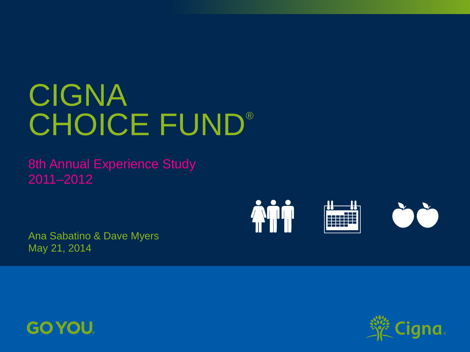# CIGNA CHOICE FUND®

8th Annual Experience Study 2011–2012

Ana Sabatino & Dave Myers May 21, 2014





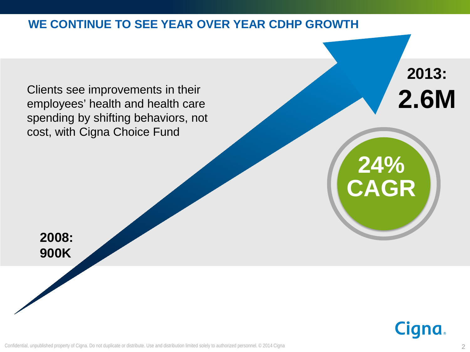### **WE CONTINUE TO SEE YEAR OVER YEAR CDHP GROWTH**

Clients see improvements in their employees' health and health care spending by shifting behaviors, not cost, with Cigna Choice Fund

**2008: 900K**



**2013:** 

**2.6M**

**24%** 

**CAGR**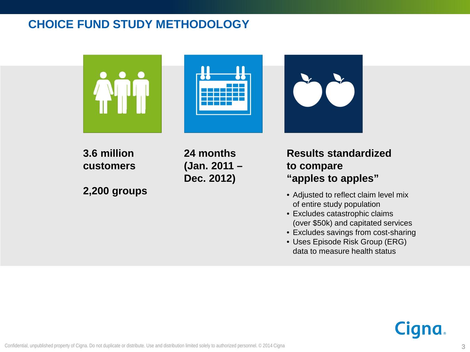# **CHOICE FUND STUDY METHODOLOGY**







**3.6 million customers**

**2,200 groups**

**24 months (Jan. 2011 – Dec. 2012)** 

#### **Results standardized to compare "apples to apples"**

- Adjusted to reflect claim level mix of entire study population
- Excludes catastrophic claims (over \$50k) and capitated services
- Excludes savings from cost-sharing
- Uses Episode Risk Group (ERG) data to measure health status

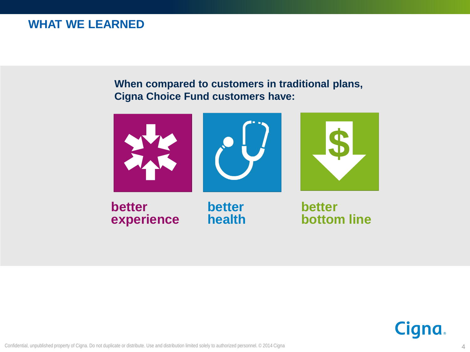#### **WHAT WE LEARNED**

#### **When compared to customers in traditional plans, Cigna Choice Fund customers have:**



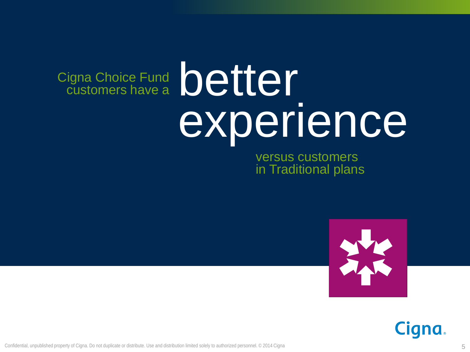# better experience Cigna Choice Fund customers have a

versus customers in Traditional plans



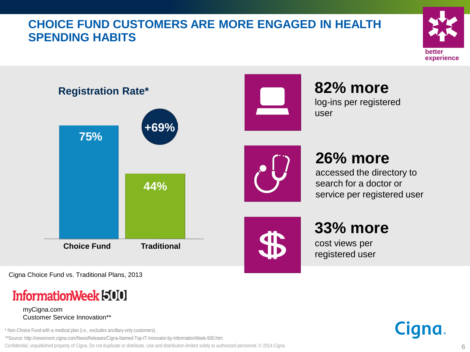# **CHOICE FUND CUSTOMERS ARE MORE ENGAGED IN HEALTH SPENDING HABITS**





Cigna Choice Fund vs. Traditional Plans, 2013

# InformationWeek 500

myCigna.com Customer Service Innovation\*\*

\* Non-Choice Fund with a medical plan (i.e., excludes ancillary-only customers).

\*\*Source: http://newsroom.cigna.com/NewsReleases/Cigna-Named-Top-IT-Innovator-by-InformationWeek-500.htm

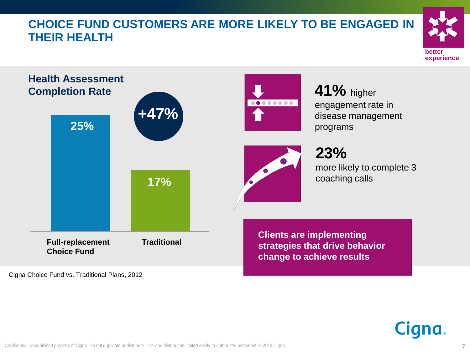# **CHOICE FUND CUSTOMERS ARE MORE LIKELY TO BE ENGAGED IN THEIR HEALTH**





Cigna Choice Fund vs. Traditional Plans, 2012

**Cigna**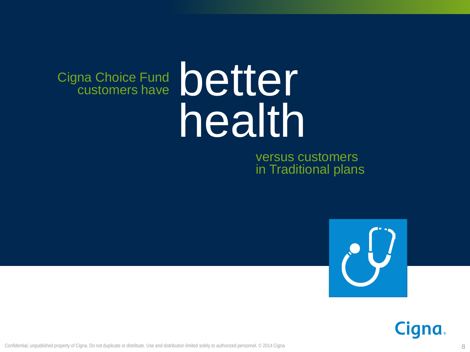# better health Cigna Choice Fund customers have

versus customers in Traditional plans



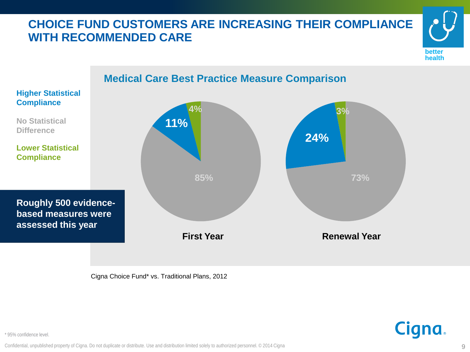# **CHOICE FUND CUSTOMERS ARE INCREASING THEIR COMPLIANCE WITH RECOMMENDED CARE**





Cigna Choice Fund\* vs. Traditional Plans, 2012

**Cigna** 

\* 95% confidence level.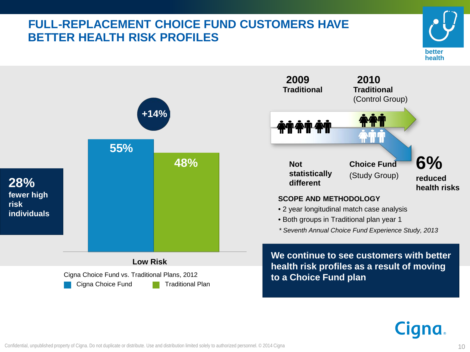# **FULL-REPLACEMENT CHOICE FUND CUSTOMERS HAVE BETTER HEALTH RISK PROFILES**





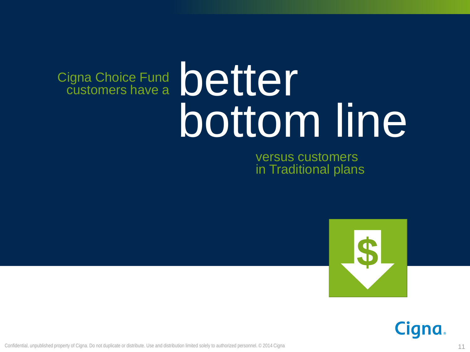# better bottom line Cigna Choice Fund customers have a

versus customers in Traditional plans



**Cigna.**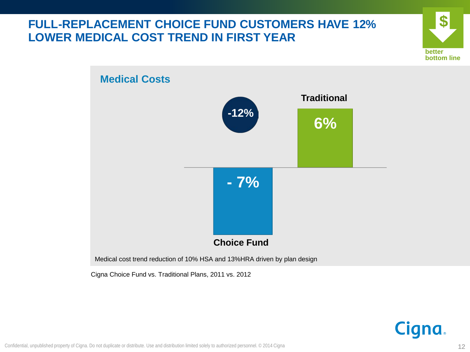# **FULL-REPLACEMENT CHOICE FUND CUSTOMERS HAVE 12% LOWER MEDICAL COST TREND IN FIRST YEAR**





Cigna Choice Fund vs. Traditional Plans, 2011 vs. 2012

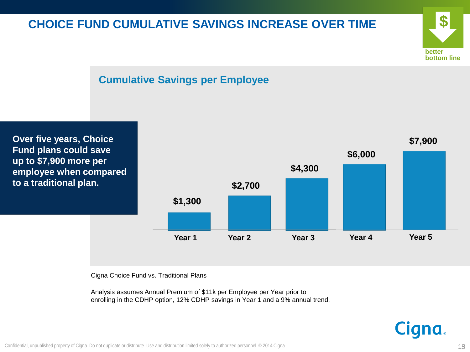# **CHOICE FUND CUMULATIVE SAVINGS INCREASE OVER TIME**







Cigna Choice Fund vs. Traditional Plans

Analysis assumes Annual Premium of \$11k per Employee per Year prior to enrolling in the CDHP option, 12% CDHP savings in Year 1 and a 9% annual trend.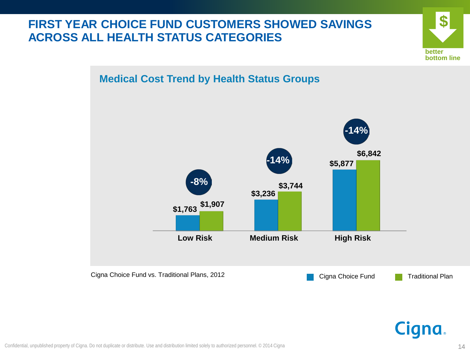# **FIRST YEAR CHOICE FUND CUSTOMERS SHOWED SAVINGS ACROSS ALL HEALTH STATUS CATEGORIES**



#### **Medical Cost Trend by Health Status Groups**



**Cigna.**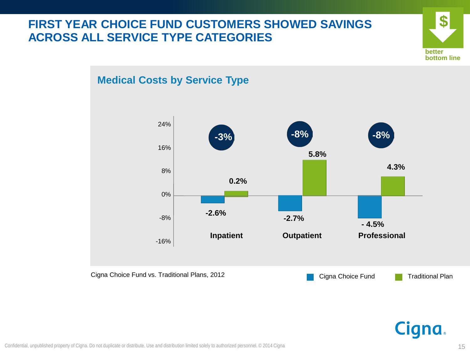# **FIRST YEAR CHOICE FUND CUSTOMERS SHOWED SAVINGS ACROSS ALL SERVICE TYPE CATEGORIES**



# **Medical Costs by Service Type**

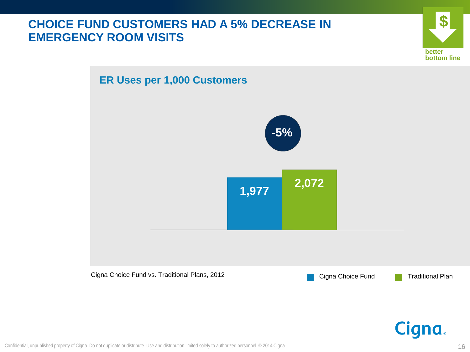# **CHOICE FUND CUSTOMERS HAD A 5% DECREASE IN EMERGENCY ROOM VISITS**



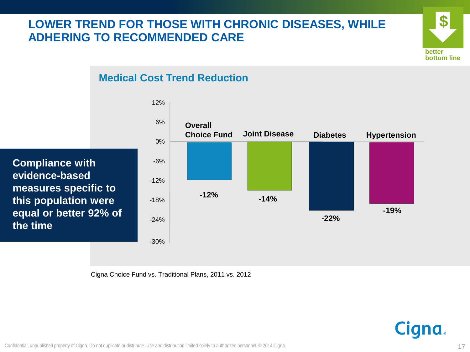# **LOWER TREND FOR THOSE WITH CHRONIC DISEASES, WHILE ADHERING TO RECOMMENDED CARE**



#### **Medical Cost Trend Reduction**

**Compliance with evidence-based measures specific to this population were equal or better 92% of the time**



Cigna Choice Fund vs. Traditional Plans, 2011 vs. 2012

**Cigna**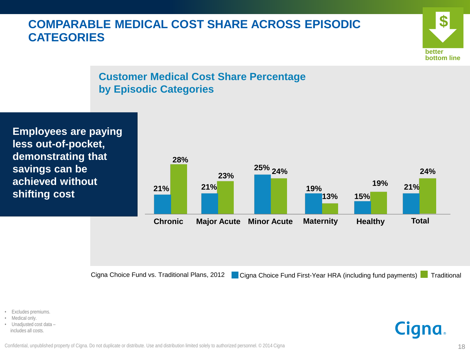# **COMPARABLE MEDICAL COST SHARE ACROSS EPISODIC CATEGORIES**



#### **Customer Medical Cost Share Percentage by Episodic Categories**

**Employees are paying less out-of-pocket, demonstrating that savings can be achieved without shifting cost**



Cigna Choice Fund vs. Traditional Plans, 2012 **Dua** Cigna Choice Fund First-Year HRA (including fund payments)

**Traditional** 

- Excludes premiums.
- Medical only.
- Unadjusted cost data includes all costs.

Confidential, unpublished property of Cigna. Do not duplicate or distribute. Use and distribution limited solely to authorized personnel. © 2014 Cigna 18 (18) and the state of particle with the solely to authorized personn

**Cigna**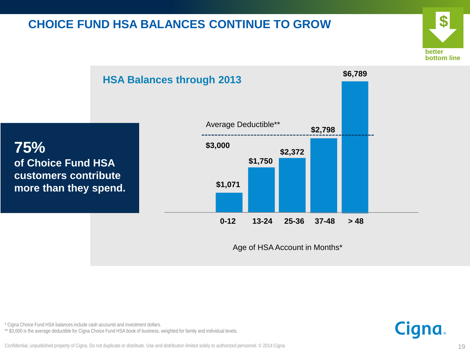# **CHOICE FUND HSA BALANCES CONTINUE TO GROW**





\* Cigna Choice Fund HSA balances include cash accounts and investment dollars.

\*\* \$3,000 is the average deductible for Cigna Choice Fund HSA book of business, weighted for family and individual levels.



Confidential, unpublished property of Cigna. Do not duplicate or distribute. Use and distribution limited solely to authorized personnel. © 2014 Cigna 19 and the state of the state of the state of the state of the state of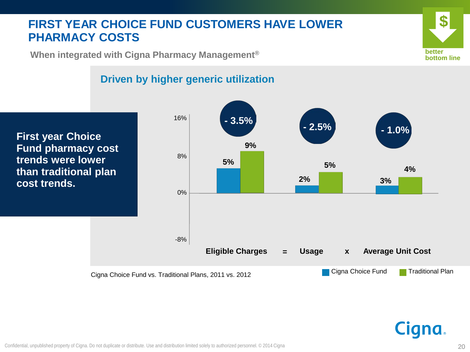# **FIRST YEAR CHOICE FUND CUSTOMERS HAVE LOWER PHARMACY COSTS**



**When integrated with Cigna Pharmacy Management®**

#### **Driven by higher generic utilization**

**First year Choice Fund pharmacy cost trends were lower than traditional plan cost trends.**



Cigna.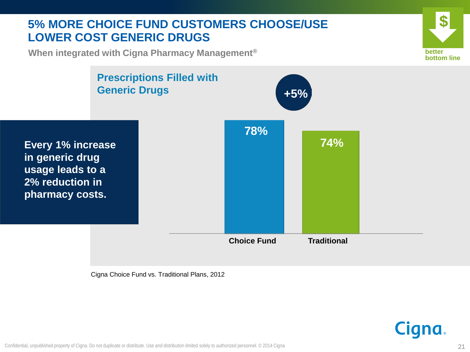## **5% MORE CHOICE FUND CUSTOMERS CHOOSE/USE LOWER COST GENERIC DRUGS**

**\$ better bottom line**

**When integrated with Cigna Pharmacy Management®**



Cigna Choice Fund vs. Traditional Plans, 2012

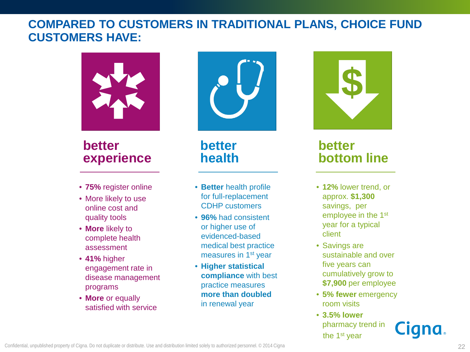#### **COMPARED TO CUSTOMERS IN TRADITIONAL PLANS, CHOICE FUND CUSTOMERS HAVE:**



# **better experience**

- **75%** register online
- More likely to use online cost and quality tools
- **More** likely to complete health assessment
- **41%** higher engagement rate in disease management programs
- **More** or equally satisfied with service



**better health**

- **Better** health profile for full-replacement CDHP customers
- **96%** had consistent or higher use of evidenced-based medical best practice measures in 1st year
- **Higher statistical compliance** with best practice measures **more than doubled**  in renewal year



# **better bottom line**

- **12%** lower trend, or approx. **\$1,300** savings, per employee in the 1st year for a typical client
- Savings are sustainable and over five years can cumulatively grow to **\$7,900** per employee
- **5% fewer** emergency room visits
- **3.5% lower** pharmacy trend in the 1<sup>st</sup> year